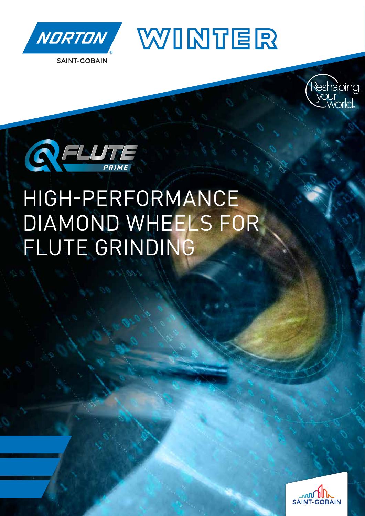





# HIGH-PERFORMANCE DIAMOND WHEELS FOR FLUTE GRINDING



Reshaping

your<br>\_worlc